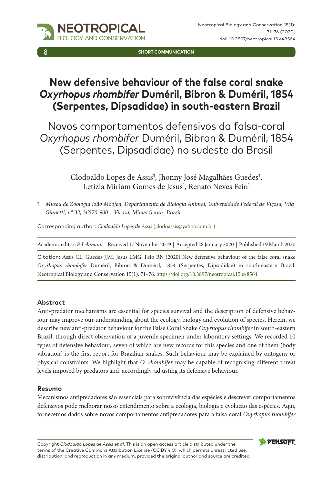

**SHORT COMMUNICATION**

# **New defensive behaviour of the false coral snake**  *Oxyrhopus rhombifer* **Duméril, Bibron & Duméril, 1854 (Serpentes, Dipsadidae) in south-eastern Brazil**

Novos comportamentos defensivos da falsa-coral *Oxyrhopus rhombifer* Duméril, Bibron & Duméril, 1854 (Serpentes, Dipsadidae) no sudeste do Brasil

> Clodoaldo Lopes de Assis<sup>1</sup>, Jhonny José Magalhães Guedes<sup>1</sup>, Letizia Miriam Gomes de Jesus<sup>1</sup>, Renato Neves Feio<sup>1</sup>

1 *Museu de Zoologia João Moojen, Departamento de Biologia Animal, Universidade Federal de Viçosa, Vila Gianetti, n° 32, 36570-900 – Viçosa, Minas Gerais, Brazil*

Corresponding author: *Clodoaldo Lopes de Assis* [\(clodoassis@yahoo.com.br\)](mailto:clodoassis@yahoo.com.br)

Academic editor: *P. Lehmann* | Received 17 November 2019 | Accepted 28 January 2020 | Published 19 March 2020

Citation: Assis CL, Guedes JJM, Jesus LMG, Feio RN (2020) New defensive behaviour of the false coral snake *Oxyrhopus rhombifer* Duméril, Bibron & Duméril, 1854 (Serpentes, Dipsadidae) in south-eastern Brazil. Neotropical Biology and Conservation 15(1): 71–76. <https://doi.org/10.3897/neotropical.15.e48564>

## **Abstract**

Anti-predator mechanisms are essential for species survival and the description of defensive behaviour may improve our understanding about the ecology, biology and evolution of species. Herein, we describe new anti-predator behaviour for the False Coral Snake *Oxyrhopus rhombifer* in south-eastern Brazil, through direct observation of a juvenile specimen under laboratory settings. We recorded 10 types of defensive behaviour, seven of which are new records for this species and one of them (body vibration) is the first report for Brazilian snakes. Such behaviour may be explained by ontogeny or physical constraints. We highlight that *O. rhombifer* may be capable of recognising different threat levels imposed by predators and, accordingly, adjusting its defensive behaviour.

## **Resumo**

Mecanismos antipredadores são essenciais para sobrevivência das espécies e descrever comportamentos defensivos pode melhorar nosso entendimento sobre a ecologia, biologia e evolução das espécies. Aqui, fornecemos dados sobre novos comportamentos antipredadores para a falsa-coral *Oxyrhopus rhombifer*

Copyright *Clodoaldo Lopes de Assis et al*. This is an open access article distributed under the terms of the [Creative Commons Attribution License \(CC BY 4.0\)](http://creativecommons.org/licenses/by/4.0/), which permits unrestricted use, distribution, and reproduction in any medium, provided the original author and source are credited.

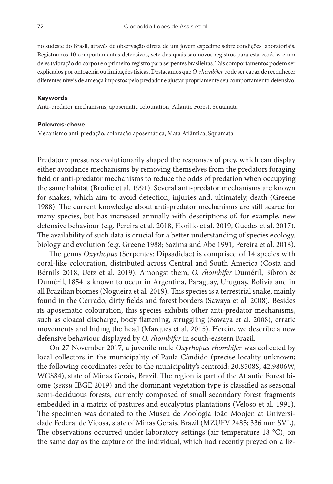no sudeste do Brasil, através de observação direta de um jovem espécime sobre condições laboratoriais. Registramos 10 comportamentos defensivos, sete dos quais são novos registros para esta espécie, e um deles (vibração do corpo) é o primeiro registro para serpentes brasileiras. Tais comportamentos podem ser explicados por ontogenia ou limitações físicas. Destacamos que *O. rhombifer* pode ser capaz de reconhecer diferentes níveis de ameaça impostos pelo predador e ajustar propriamente seu comportamento defensivo.

#### **Keywords**

Anti-predator mechanisms, aposematic colouration, Atlantic Forest, Squamata

#### **Palavras-chave**

Mecanismo anti-predação, coloração aposemática, Mata Atlântica, Squamata

Predatory pressures evolutionarily shaped the responses of prey, which can display either avoidance mechanisms by removing themselves from the predators foraging field or anti-predator mechanisms to reduce the odds of predation when occupying the same habitat (Brodie et al. 1991). Several anti-predator mechanisms are known for snakes, which aim to avoid detection, injuries and, ultimately, death (Greene 1988). The current knowledge about anti-predator mechanisms are still scarce for many species, but has increased annually with descriptions of, for example, new defensive behaviour (e.g. Pereira et al. 2018, Fiorillo et al. 2019, Guedes et al. 2017). The availability of such data is crucial for a better understanding of species ecology, biology and evolution (e.g. Greene 1988; Sazima and Abe 1991, Pereira et al. 2018).

The genus *Oxyrhopus* (Serpentes: Dipsadidae) is comprised of 14 species with coral-like colouration, distributed across Central and South America (Costa and Bérnils 2018, Uetz et al. 2019). Amongst them, *O. rhombifer* Duméril, Bibron & Duméril, 1854 is known to occur in Argentina, Paraguay, Uruguay, Bolivia and in all Brazilian biomes (Nogueira et al. 2019). This species is a terrestrial snake, mainly found in the Cerrado, dirty fields and forest borders (Sawaya et al. 2008). Besides its aposematic colouration, this species exhibits other anti-predator mechanisms, such as cloacal discharge, body flattening, struggling (Sawaya et al. 2008), erratic movements and hiding the head (Marques et al. 2015). Herein, we describe a new defensive behaviour displayed by *O. rhombifer* in south-eastern Brazil.

On 27 November 2017, a juvenile male *Oxyrhopus rhombifer* was collected by local collectors in the municipality of Paula Cândido (precise locality unknown; the following coordinates refer to the municipality's centroid: 20.8508S, 42.9806W, WGS84), state of Minas Gerais, Brazil. The region is part of the Atlantic Forest biome (*sensu* IBGE 2019) and the dominant vegetation type is classified as seasonal semi-deciduous forests, currently composed of small secondary forest fragments embedded in a matrix of pastures and eucalyptus plantations (Veloso et al. 1991). The specimen was donated to the Museu de Zoologia João Moojen at Universidade Federal de Viçosa, state of Minas Gerais, Brazil (MZUFV 2485; 336 mm SVL). The observations occurred under laboratory settings (air temperature 18 °C), on the same day as the capture of the individual, which had recently preyed on a liz-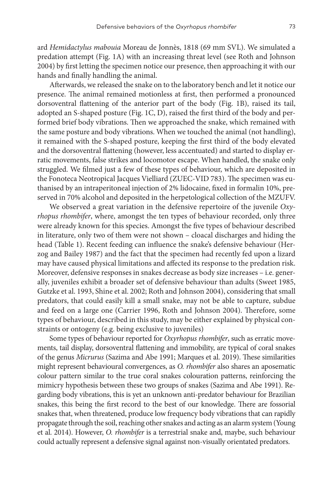ard *Hemidactylus mabouia* Moreau de Jonnès, 1818 (69 mm SVL). We simulated a predation attempt (Fig. 1A) with an increasing threat level (see Roth and Johnson 2004) by first letting the specimen notice our presence, then approaching it with our hands and finally handling the animal.

Afterwards, we released the snake on to the laboratory bench and let it notice our presence. The animal remained motionless at first, then performed a pronounced dorsoventral flattening of the anterior part of the body (Fig. 1B), raised its tail, adopted an S-shaped posture (Fig. 1C, D), raised the first third of the body and performed brief body vibrations. Then we approached the snake, which remained with the same posture and body vibrations. When we touched the animal (not handling), it remained with the S-shaped posture, keeping the first third of the body elevated and the dorsoventral flattening (however, less accentuated) and started to display erratic movements, false strikes and locomotor escape. When handled, the snake only struggled. We filmed just a few of these types of behaviour, which are deposited in the Fonoteca Neotropical Jacques Vielliard (ZUEC-VID 783). The specimen was euthanised by an intraperitoneal injection of 2% lidocaine, fixed in formalin 10%, preserved in 70% alcohol and deposited in the herpetological collection of the MZUFV.

We observed a great variation in the defensive repertoire of the juvenile *Oxyrhopus rhombifer*, where, amongst the ten types of behaviour recorded, only three were already known for this species. Amongst the five types of behaviour described in literature, only two of them were not shown – cloacal discharges and hiding the head (Table 1). Recent feeding can influence the snake's defensive behaviour (Herzog and Bailey 1987) and the fact that the specimen had recently fed upon a lizard may have caused physical limitations and affected its response to the predation risk. Moreover, defensive responses in snakes decrease as body size increases – i.e. generally, juveniles exhibit a broader set of defensive behaviour than adults (Sweet 1985, Gutzke et al. 1993, Shine et al. 2002; Roth and Johnson 2004), considering that small predators, that could easily kill a small snake, may not be able to capture, subdue and feed on a large one (Carrier 1996, Roth and Johnson 2004). Therefore, some types of behaviour, described in this study, may be either explained by physical constraints or ontogeny (e.g. being exclusive to juveniles)

Some types of behaviour reported for *Oxyrhopus rhombifer*, such as erratic movements, tail display, dorsoventral flattening and immobility, are typical of coral snakes of the genus *Micrurus* (Sazima and Abe 1991; Marques et al. 2019). These similarities might represent behavioural convergences, as *O. rhombifer* also shares an aposematic colour pattern similar to the true coral snakes colouration patterns, reinforcing the mimicry hypothesis between these two groups of snakes (Sazima and Abe 1991). Regarding body vibrations, this is yet an unknown anti-predator behaviour for Brazilian snakes, this being the first record to the best of our knowledge. There are fossorial snakes that, when threatened, produce low frequency body vibrations that can rapidly propagate through the soil, reaching other snakes and acting as an alarm system (Young et al. 2014). However, *O. rhombifer* is a terrestrial snake and, maybe, such behaviour could actually represent a defensive signal against non-visually orientated predators.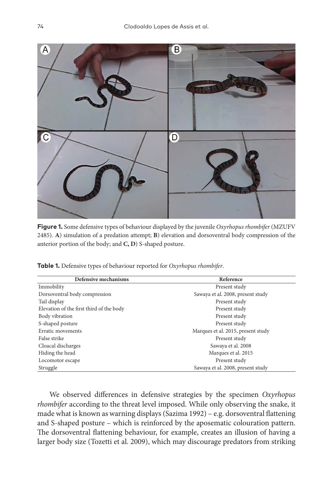

**Figure 1.** Some defensive types of behaviour displayed by the juvenile *Oxyrhopus rhombifer* (MZUFV 2485). **A**) simulation of a predation attempt; **B**) elevation and dorsoventral body compression of the anterior portion of the body; and **C, D**) S-shaped posture.

**Table 1.** Defensive types of behaviour reported for *Oxyrhopus rhombifer*.

| Defensive mechanisms                     | Reference                          |
|------------------------------------------|------------------------------------|
| Immobility                               | Present study                      |
| Dorsoventral body compression            | Sawaya et al. 2008, present study  |
| Tail display                             | Present study                      |
| Elevation of the first third of the body | Present study                      |
| Body vibration                           | Present study                      |
| S-shaped posture                         | Present study                      |
| Erratic movements                        | Marques et al. 2015, present study |
| False strike                             | Present study                      |
| Cloacal discharges                       | Sawaya et al. 2008                 |
| Hiding the head                          | Marques et al. 2015                |
| Locomotor escape                         | Present study                      |
| Struggle                                 | Sawaya et al. 2008, present study  |

We observed differences in defensive strategies by the specimen *Oxyrhopus rhombifer* according to the threat level imposed. While only observing the snake, it made what is known as warning displays (Sazima 1992) – e.g. dorsoventral flattening and S-shaped posture – which is reinforced by the aposematic colouration pattern. The dorsoventral flattening behaviour, for example, creates an illusion of having a larger body size (Tozetti et al. 2009), which may discourage predators from striking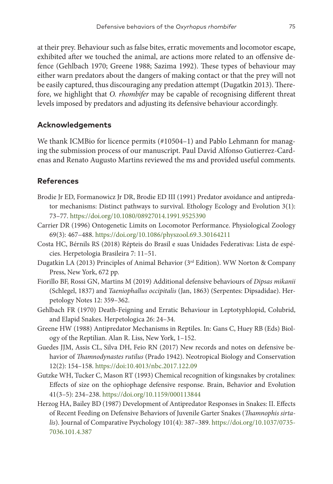at their prey. Behaviour such as false bites, erratic movements and locomotor escape, exhibited after we touched the animal, are actions more related to an offensive defence (Gehlbach 1970; Greene 1988; Sazima 1992). These types of behaviour may either warn predators about the dangers of making contact or that the prey will not be easily captured, thus discouraging any predation attempt (Dugatkin 2013). Therefore, we highlight that *O. rhombifer* may be capable of recognising different threat levels imposed by predators and adjusting its defensive behaviour accordingly.

## **Acknowledgements**

We thank ICMBio for licence permits (#10504–1) and Pablo Lehmann for managing the submission process of our manuscript. Paul David Alfonso Gutierrez-Cardenas and Renato Augusto Martins reviewed the ms and provided useful comments.

# **References**

- Brodie Jr ED, Formanowicz Jr DR, Brodie ED III (1991) Predator avoidance and antipredator mechanisms: Distinct pathways to survival. Ethology Ecology and Evolution 3(1): 73–77.<https://doi.org/10.1080/08927014.1991.9525390>
- Carrier DR (1996) Ontogenetic Limits on Locomotor Performance. Physiological Zoology 69(3): 467–488. <https://doi.org/10.1086/physzool.69.3.30164211>
- Costa HC, Bérnils RS (2018) Répteis do Brasil e suas Unidades Federativas: Lista de espécies. Herpetologia Brasileira 7: 11–51.
- Dugatkin LA (2013) Principles of Animal Behavior (3rd Edition). WW Norton & Company Press, New York, 672 pp.
- Fiorillo BF, Rossi GN, Martins M (2019) Additional defensive behaviours of *Dipsas mikanii* (Schlegel, 1837) and *Taeniophallus occipitalis* (Jan, 1863) (Serpentes: Dipsadidae). Herpetology Notes 12: 359–362.
- Gehlbach FR (1970) Death-Feigning and Erratic Behaviour in Leptotyphlopid, Colubrid, and Elapid Snakes. Herpetologica 26: 24–34.
- Greene HW (1988) Antipredator Mechanisms in Reptiles. In: Gans C, Huey RB (Eds) Biology of the Reptilian. Alan R. Liss, New York, 1–152.
- Guedes JJM, Assis CL, Silva DH, Feio RN (2017) New records and notes on defensive behavior of *Thamnodynastes rutilus* (Prado 1942). Neotropical Biology and Conservation 12(2): 154–158. <https://doi:10.4013/nbc.2017.122.09>
- Gutzke WH, Tucker C, Mason RT (1993) Chemical recognition of kingsnakes by crotalines: Effects of size on the ophiophage defensive response. Brain, Behavior and Evolution 41(3–5): 234–238. <https://doi.org/10.1159/000113844>
- Herzog HA, Bailey BD (1987) Development of Antipredator Responses in Snakes: II. Effects of Recent Feeding on Defensive Behaviors of Juvenile Garter Snakes (*Thamnophis sirtalis*). Journal of Comparative Psychology 101(4): 387–389. [https://doi.org/10.1037/0735-](https://doi.org/10.1037/0735-7036.101.4.387) [7036.101.4.387](https://doi.org/10.1037/0735-7036.101.4.387)